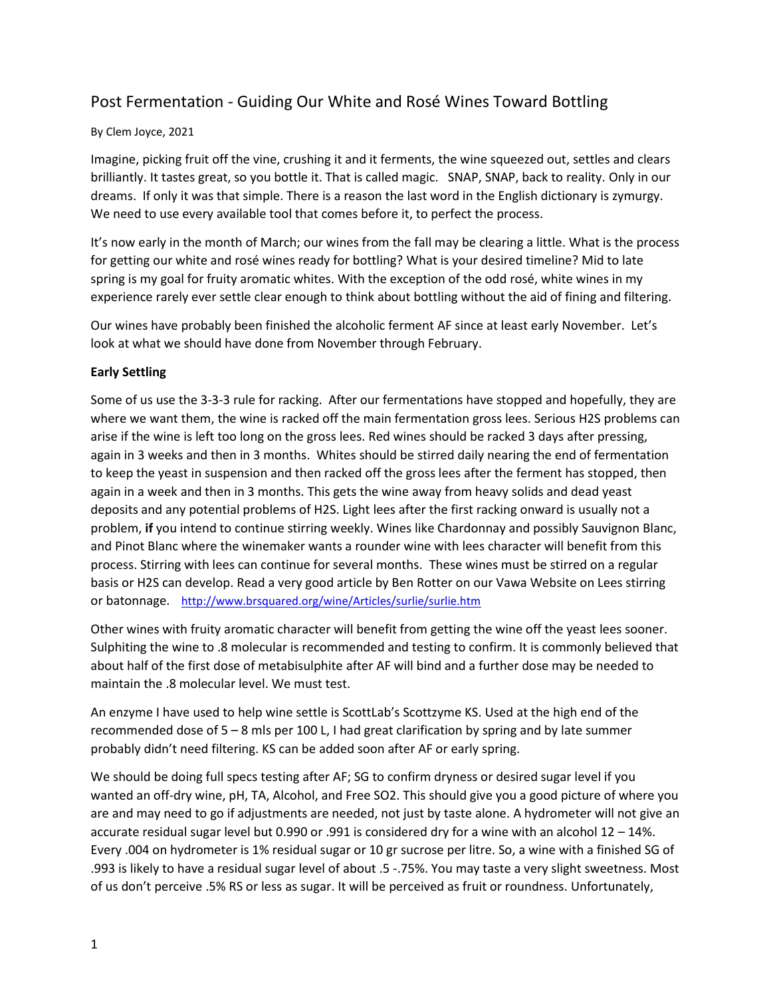# Post Fermentation - Guiding Our White and Rosé Wines Toward Bottling

## By Clem Joyce, 2021

Imagine, picking fruit off the vine, crushing it and it ferments, the wine squeezed out, settles and clears brilliantly. It tastes great, so you bottle it. That is called magic. SNAP, SNAP, back to reality. Only in our dreams. If only it was that simple. There is a reason the last word in the English dictionary is zymurgy. We need to use every available tool that comes before it, to perfect the process.

It's now early in the month of March; our wines from the fall may be clearing a little. What is the process for getting our white and rosé wines ready for bottling? What is your desired timeline? Mid to late spring is my goal for fruity aromatic whites. With the exception of the odd rosé, white wines in my experience rarely ever settle clear enough to think about bottling without the aid of fining and filtering.

Our wines have probably been finished the alcoholic ferment AF since at least early November. Let's look at what we should have done from November through February.

## **Early Settling**

Some of us use the 3-3-3 rule for racking. After our fermentations have stopped and hopefully, they are where we want them, the wine is racked off the main fermentation gross lees. Serious H2S problems can arise if the wine is left too long on the gross lees. Red wines should be racked 3 days after pressing, again in 3 weeks and then in 3 months. Whites should be stirred daily nearing the end of fermentation to keep the yeast in suspension and then racked off the gross lees after the ferment has stopped, then again in a week and then in 3 months. This gets the wine away from heavy solids and dead yeast deposits and any potential problems of H2S. Light lees after the first racking onward is usually not a problem, **if** you intend to continue stirring weekly. Wines like Chardonnay and possibly Sauvignon Blanc, and Pinot Blanc where the winemaker wants a rounder wine with lees character will benefit from this process. Stirring with lees can continue for several months. These wines must be stirred on a regular basis or H2S can develop. Read a very good article by Ben Rotter on our Vawa Website on Lees stirring or batonnage. <http://www.brsquared.org/wine/Articles/surlie/surlie.htm>

Other wines with fruity aromatic character will benefit from getting the wine off the yeast lees sooner. Sulphiting the wine to .8 molecular is recommended and testing to confirm. It is commonly believed that about half of the first dose of metabisulphite after AF will bind and a further dose may be needed to maintain the .8 molecular level. We must test.

An enzyme I have used to help wine settle is ScottLab's Scottzyme KS. Used at the high end of the recommended dose of 5 – 8 mls per 100 L, I had great clarification by spring and by late summer probably didn't need filtering. KS can be added soon after AF or early spring.

We should be doing full specs testing after AF; SG to confirm dryness or desired sugar level if you wanted an off-dry wine, pH, TA, Alcohol, and Free SO2. This should give you a good picture of where you are and may need to go if adjustments are needed, not just by taste alone. A hydrometer will not give an accurate residual sugar level but 0.990 or .991 is considered dry for a wine with an alcohol 12 – 14%. Every .004 on hydrometer is 1% residual sugar or 10 gr sucrose per litre. So, a wine with a finished SG of .993 is likely to have a residual sugar level of about .5 -.75%. You may taste a very slight sweetness. Most of us don't perceive .5% RS or less as sugar. It will be perceived as fruit or roundness. Unfortunately,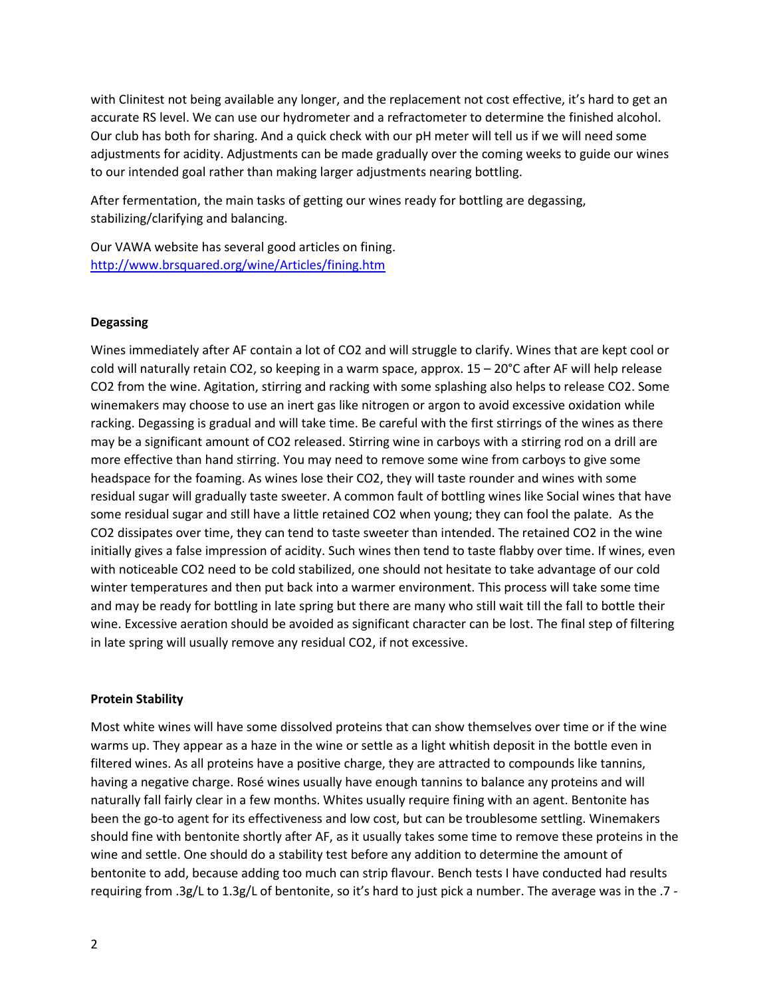with Clinitest not being available any longer, and the replacement not cost effective, it's hard to get an accurate RS level. We can use our hydrometer and a refractometer to determine the finished alcohol. Our club has both for sharing. And a quick check with our pH meter will tell us if we will need some adjustments for acidity. Adjustments can be made gradually over the coming weeks to guide our wines to our intended goal rather than making larger adjustments nearing bottling.

After fermentation, the main tasks of getting our wines ready for bottling are degassing, stabilizing/clarifying and balancing.

Our VAWA website has several good articles on fining. <http://www.brsquared.org/wine/Articles/fining.htm>

## **Degassing**

Wines immediately after AF contain a lot of CO2 and will struggle to clarify. Wines that are kept cool or cold will naturally retain CO2, so keeping in a warm space, approx. 15 – 20°C after AF will help release CO2 from the wine. Agitation, stirring and racking with some splashing also helps to release CO2. Some winemakers may choose to use an inert gas like nitrogen or argon to avoid excessive oxidation while racking. Degassing is gradual and will take time. Be careful with the first stirrings of the wines as there may be a significant amount of CO2 released. Stirring wine in carboys with a stirring rod on a drill are more effective than hand stirring. You may need to remove some wine from carboys to give some headspace for the foaming. As wines lose their CO2, they will taste rounder and wines with some residual sugar will gradually taste sweeter. A common fault of bottling wines like Social wines that have some residual sugar and still have a little retained CO2 when young; they can fool the palate. As the CO2 dissipates over time, they can tend to taste sweeter than intended. The retained CO2 in the wine initially gives a false impression of acidity. Such wines then tend to taste flabby over time. If wines, even with noticeable CO2 need to be cold stabilized, one should not hesitate to take advantage of our cold winter temperatures and then put back into a warmer environment. This process will take some time and may be ready for bottling in late spring but there are many who still wait till the fall to bottle their wine. Excessive aeration should be avoided as significant character can be lost. The final step of filtering in late spring will usually remove any residual CO2, if not excessive.

### **Protein Stability**

Most white wines will have some dissolved proteins that can show themselves over time or if the wine warms up. They appear as a haze in the wine or settle as a light whitish deposit in the bottle even in filtered wines. As all proteins have a positive charge, they are attracted to compounds like tannins, having a negative charge. Rosé wines usually have enough tannins to balance any proteins and will naturally fall fairly clear in a few months. Whites usually require fining with an agent. Bentonite has been the go-to agent for its effectiveness and low cost, but can be troublesome settling. Winemakers should fine with bentonite shortly after AF, as it usually takes some time to remove these proteins in the wine and settle. One should do a stability test before any addition to determine the amount of bentonite to add, because adding too much can strip flavour. Bench tests I have conducted had results requiring from .3g/L to 1.3g/L of bentonite, so it's hard to just pick a number. The average was in the .7 -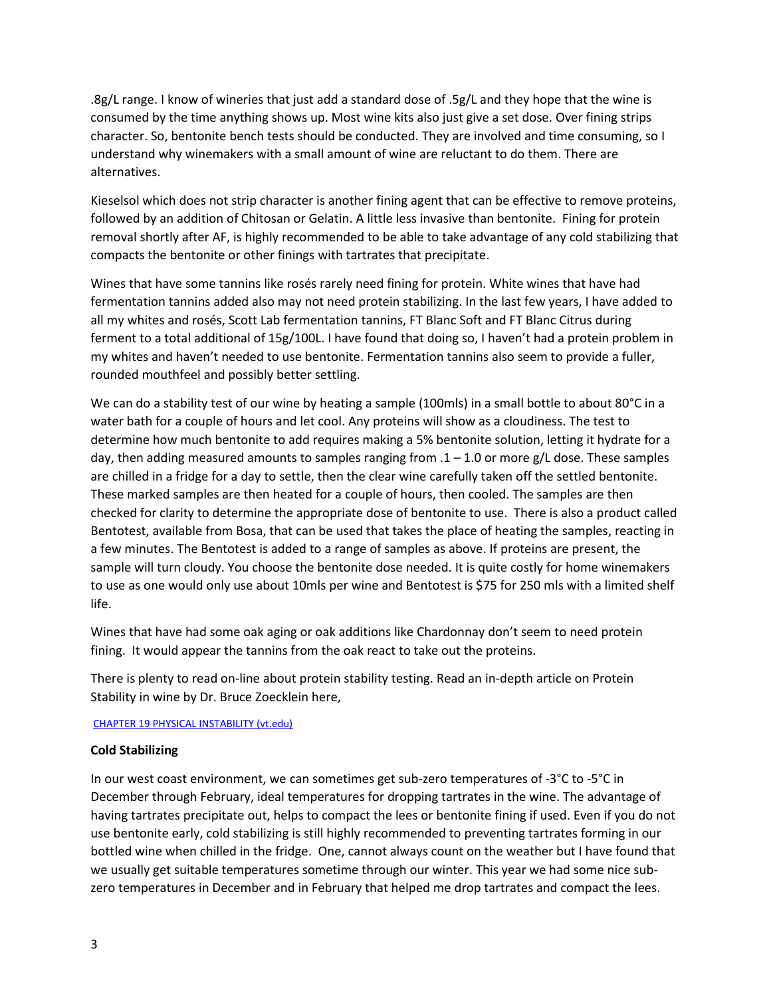.8g/L range. I know of wineries that just add a standard dose of .5g/L and they hope that the wine is consumed by the time anything shows up. Most wine kits also just give a set dose. Over fining strips character. So, bentonite bench tests should be conducted. They are involved and time consuming, so I understand why winemakers with a small amount of wine are reluctant to do them. There are alternatives.

Kieselsol which does not strip character is another fining agent that can be effective to remove proteins, followed by an addition of Chitosan or Gelatin. A little less invasive than bentonite. Fining for protein removal shortly after AF, is highly recommended to be able to take advantage of any cold stabilizing that compacts the bentonite or other finings with tartrates that precipitate.

Wines that have some tannins like rosés rarely need fining for protein. White wines that have had fermentation tannins added also may not need protein stabilizing. In the last few years, I have added to all my whites and rosés, Scott Lab fermentation tannins, FT Blanc Soft and FT Blanc Citrus during ferment to a total additional of 15g/100L. I have found that doing so, I haven't had a protein problem in my whites and haven't needed to use bentonite. Fermentation tannins also seem to provide a fuller, rounded mouthfeel and possibly better settling.

We can do a stability test of our wine by heating a sample (100mls) in a small bottle to about 80°C in a water bath for a couple of hours and let cool. Any proteins will show as a cloudiness. The test to determine how much bentonite to add requires making a 5% bentonite solution, letting it hydrate for a day, then adding measured amounts to samples ranging from  $.1 - 1.0$  or more g/L dose. These samples are chilled in a fridge for a day to settle, then the clear wine carefully taken off the settled bentonite. These marked samples are then heated for a couple of hours, then cooled. The samples are then checked for clarity to determine the appropriate dose of bentonite to use. There is also a product called Bentotest, available from Bosa, that can be used that takes the place of heating the samples, reacting in a few minutes. The Bentotest is added to a range of samples as above. If proteins are present, the sample will turn cloudy. You choose the bentonite dose needed. It is quite costly for home winemakers to use as one would only use about 10mls per wine and Bentotest is \$75 for 250 mls with a limited shelf life.

Wines that have had some oak aging or oak additions like Chardonnay don't seem to need protein fining. It would appear the tannins from the oak react to take out the proteins.

There is plenty to read on-line about protein stability testing. Read an in-depth article on Protein Stability in wine by Dr. Bruce Zoecklein here,

[CHAPTER 19 PHYSICAL INSTABILITY \(vt.edu\)](https://www.apps.fst.vt.edu/extension/enology/downloads/wm_issues/Wine%20Proteins%20and%20Protein%20Stability.pdf)

### **Cold Stabilizing**

In our west coast environment, we can sometimes get sub-zero temperatures of -3°C to -5°C in December through February, ideal temperatures for dropping tartrates in the wine. The advantage of having tartrates precipitate out, helps to compact the lees or bentonite fining if used. Even if you do not use bentonite early, cold stabilizing is still highly recommended to preventing tartrates forming in our bottled wine when chilled in the fridge. One, cannot always count on the weather but I have found that we usually get suitable temperatures sometime through our winter. This year we had some nice subzero temperatures in December and in February that helped me drop tartrates and compact the lees.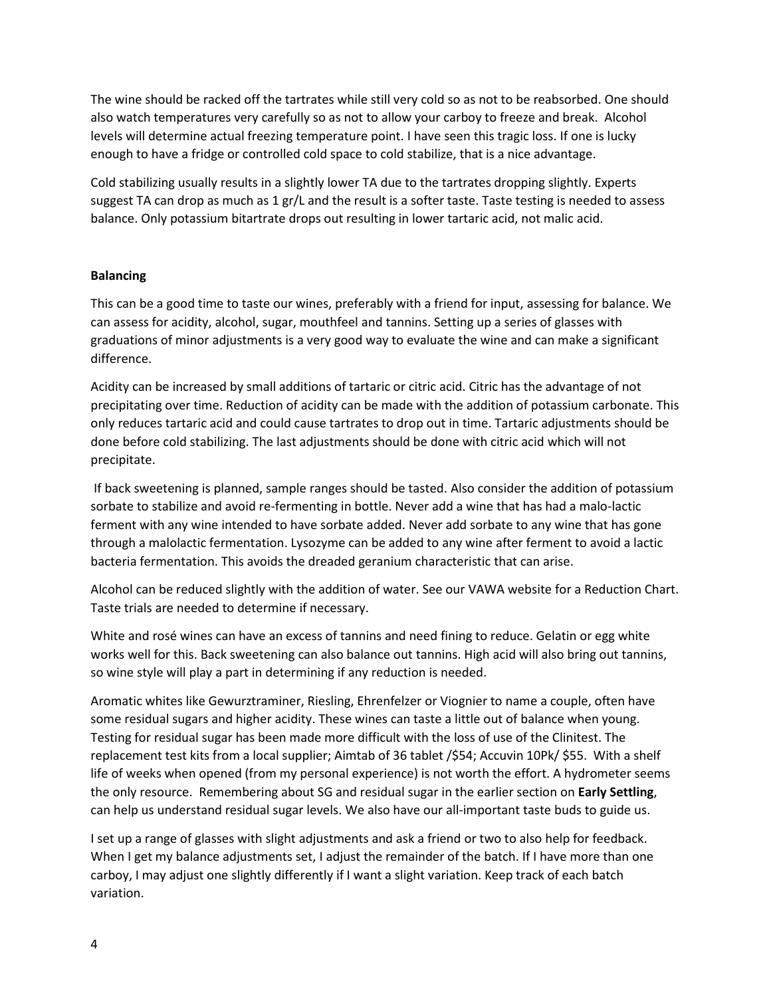The wine should be racked off the tartrates while still very cold so as not to be reabsorbed. One should also watch temperatures very carefully so as not to allow your carboy to freeze and break. Alcohol levels will determine actual freezing temperature point. I have seen this tragic loss. If one is lucky enough to have a fridge or controlled cold space to cold stabilize, that is a nice advantage.

Cold stabilizing usually results in a slightly lower TA due to the tartrates dropping slightly. Experts suggest TA can drop as much as 1 gr/L and the result is a softer taste. Taste testing is needed to assess balance. Only potassium bitartrate drops out resulting in lower tartaric acid, not malic acid.

### **Balancing**

This can be a good time to taste our wines, preferably with a friend for input, assessing for balance. We can assess for acidity, alcohol, sugar, mouthfeel and tannins. Setting up a series of glasses with graduations of minor adjustments is a very good way to evaluate the wine and can make a significant difference.

Acidity can be increased by small additions of tartaric or citric acid. Citric has the advantage of not precipitating over time. Reduction of acidity can be made with the addition of potassium carbonate. This only reduces tartaric acid and could cause tartrates to drop out in time. Tartaric adjustments should be done before cold stabilizing. The last adjustments should be done with citric acid which will not precipitate.

If back sweetening is planned, sample ranges should be tasted. Also consider the addition of potassium sorbate to stabilize and avoid re-fermenting in bottle. Never add a wine that has had a malo-lactic ferment with any wine intended to have sorbate added. Never add sorbate to any wine that has gone through a malolactic fermentation. Lysozyme can be added to any wine after ferment to avoid a lactic bacteria fermentation. This avoids the dreaded geranium characteristic that can arise.

Alcohol can be reduced slightly with the addition of water. See our VAWA website for a Reduction Chart. Taste trials are needed to determine if necessary.

White and rosé wines can have an excess of tannins and need fining to reduce. Gelatin or egg white works well for this. Back sweetening can also balance out tannins. High acid will also bring out tannins, so wine style will play a part in determining if any reduction is needed.

Aromatic whites like Gewurztraminer, Riesling, Ehrenfelzer or Viognier to name a couple, often have some residual sugars and higher acidity. These wines can taste a little out of balance when young. Testing for residual sugar has been made more difficult with the loss of use of the Clinitest. The replacement test kits from a local supplier; Aimtab of 36 tablet /\$54; Accuvin 10Pk/ \$55. With a shelf life of weeks when opened (from my personal experience) is not worth the effort. A hydrometer seems the only resource. Remembering about SG and residual sugar in the earlier section on **Early Settling**, can help us understand residual sugar levels. We also have our all-important taste buds to guide us.

I set up a range of glasses with slight adjustments and ask a friend or two to also help for feedback. When I get my balance adjustments set, I adjust the remainder of the batch. If I have more than one carboy, I may adjust one slightly differently if I want a slight variation. Keep track of each batch variation.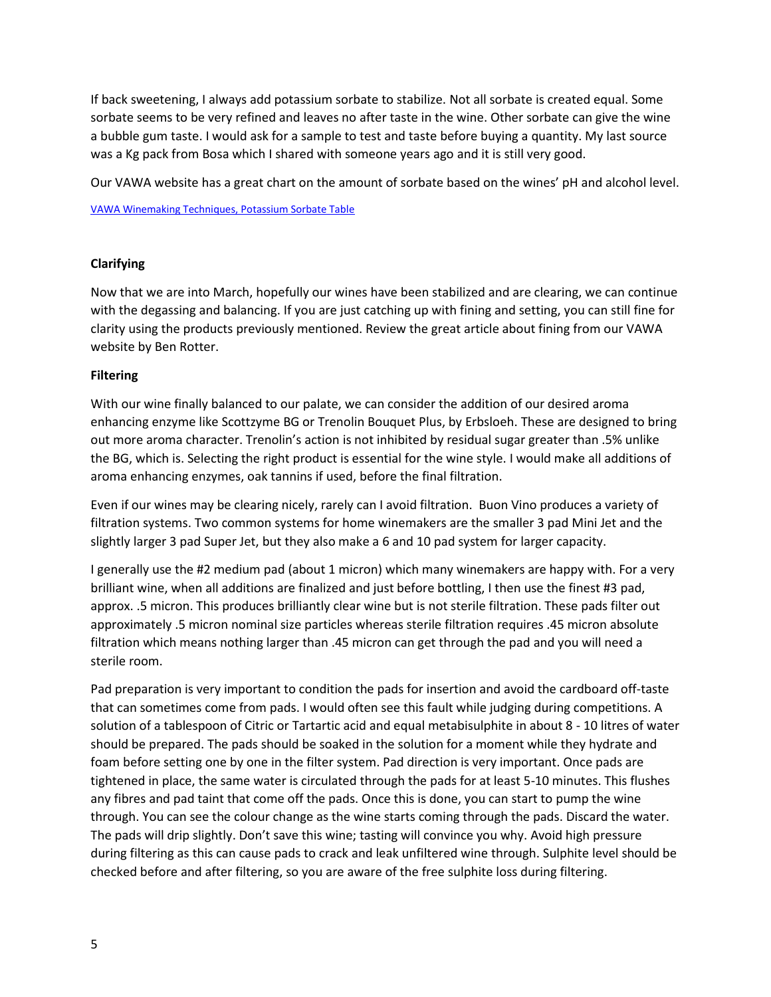If back sweetening, I always add potassium sorbate to stabilize. Not all sorbate is created equal. Some sorbate seems to be very refined and leaves no after taste in the wine. Other sorbate can give the wine a bubble gum taste. I would ask for a sample to test and taste before buying a quantity. My last source was a Kg pack from Bosa which I shared with someone years ago and it is still very good.

Our VAWA website has a great chart on the amount of sorbate based on the wines' pH and alcohol level.

[VAWA Winemaking Techniques, Potassium Sorbate Table](https://www.vawa.net/winemaking-articles/sorbatetable.html)

## **Clarifying**

Now that we are into March, hopefully our wines have been stabilized and are clearing, we can continue with the degassing and balancing. If you are just catching up with fining and setting, you can still fine for clarity using the products previously mentioned. Review the great article about fining from our VAWA website by Ben Rotter.

### **Filtering**

With our wine finally balanced to our palate, we can consider the addition of our desired aroma enhancing enzyme like Scottzyme BG or Trenolin Bouquet Plus, by Erbsloeh. These are designed to bring out more aroma character. Trenolin's action is not inhibited by residual sugar greater than .5% unlike the BG, which is. Selecting the right product is essential for the wine style. I would make all additions of aroma enhancing enzymes, oak tannins if used, before the final filtration.

Even if our wines may be clearing nicely, rarely can I avoid filtration. Buon Vino produces a variety of filtration systems. Two common systems for home winemakers are the smaller 3 pad Mini Jet and the slightly larger 3 pad Super Jet, but they also make a 6 and 10 pad system for larger capacity.

I generally use the #2 medium pad (about 1 micron) which many winemakers are happy with. For a very brilliant wine, when all additions are finalized and just before bottling, I then use the finest #3 pad, approx. .5 micron. This produces brilliantly clear wine but is not sterile filtration. These pads filter out approximately .5 micron nominal size particles whereas sterile filtration requires .45 micron absolute filtration which means nothing larger than .45 micron can get through the pad and you will need a sterile room.

Pad preparation is very important to condition the pads for insertion and avoid the cardboard off-taste that can sometimes come from pads. I would often see this fault while judging during competitions. A solution of a tablespoon of Citric or Tartartic acid and equal metabisulphite in about 8 - 10 litres of water should be prepared. The pads should be soaked in the solution for a moment while they hydrate and foam before setting one by one in the filter system. Pad direction is very important. Once pads are tightened in place, the same water is circulated through the pads for at least 5-10 minutes. This flushes any fibres and pad taint that come off the pads. Once this is done, you can start to pump the wine through. You can see the colour change as the wine starts coming through the pads. Discard the water. The pads will drip slightly. Don't save this wine; tasting will convince you why. Avoid high pressure during filtering as this can cause pads to crack and leak unfiltered wine through. Sulphite level should be checked before and after filtering, so you are aware of the free sulphite loss during filtering.